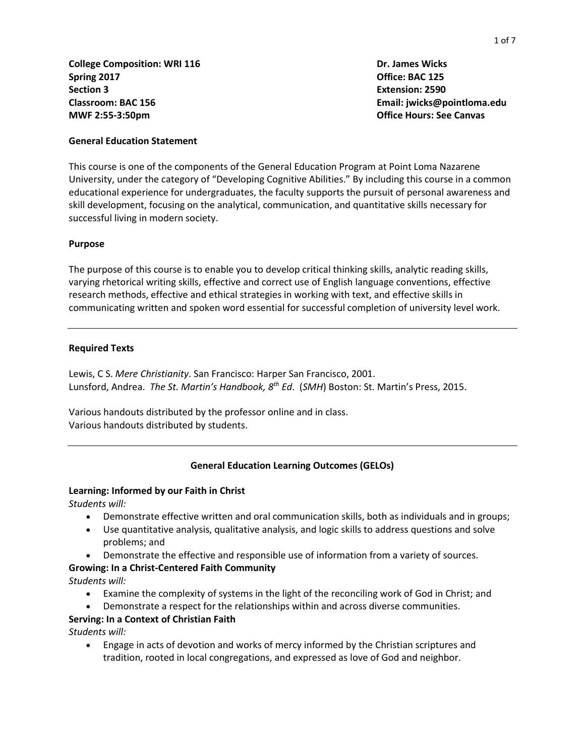**College Composition: WRI 116 Spring 2017 Section 3 Classroom: BAC 156 MWF 2:55-3:50pm**

 **Dr. James Wicks Office: BAC 125 Extension: 2590 Email: jwicks@pointloma.edu Office Hours: See Canvas**

#### **General Education Statement**

This course is one of the components of the General Education Program at Point Loma Nazarene University, under the category of "Developing Cognitive Abilities." By including this course in a common educational experience for undergraduates, the faculty supports the pursuit of personal awareness and skill development, focusing on the analytical, communication, and quantitative skills necessary for successful living in modern society.

#### **Purpose**

The purpose of this course is to enable you to develop critical thinking skills, analytic reading skills, varying rhetorical writing skills, effective and correct use of English language conventions, effective research methods, effective and ethical strategies in working with text, and effective skills in communicating written and spoken word essential for successful completion of university level work.

#### **Required Texts**

Lewis, C S. *Mere Christianity*. San Francisco: Harper San Francisco, 2001. Lunsford, Andrea. *The St. Martin's Handbook, 8 th Ed*. (*SMH*) Boston: St. Martin's Press, 2015.

Various handouts distributed by the professor online and in class. Various handouts distributed by students.

#### **General Education Learning Outcomes (GELOs)**

#### **Learning: Informed by our Faith in Christ**

*Students will:*

- Demonstrate effective written and oral communication skills, both as individuals and in groups;
- Use quantitative analysis, qualitative analysis, and logic skills to address questions and solve problems; and
- Demonstrate the effective and responsible use of information from a variety of sources.

#### **Growing: In a Christ-Centered Faith Community**

*Students will:*

- Examine the complexity of systems in the light of the reconciling work of God in Christ; and
- Demonstrate a respect for the relationships within and across diverse communities.

## **Serving: In a Context of Christian Faith**

*Students will:*

 Engage in acts of devotion and works of mercy informed by the Christian scriptures and tradition, rooted in local congregations, and expressed as love of God and neighbor.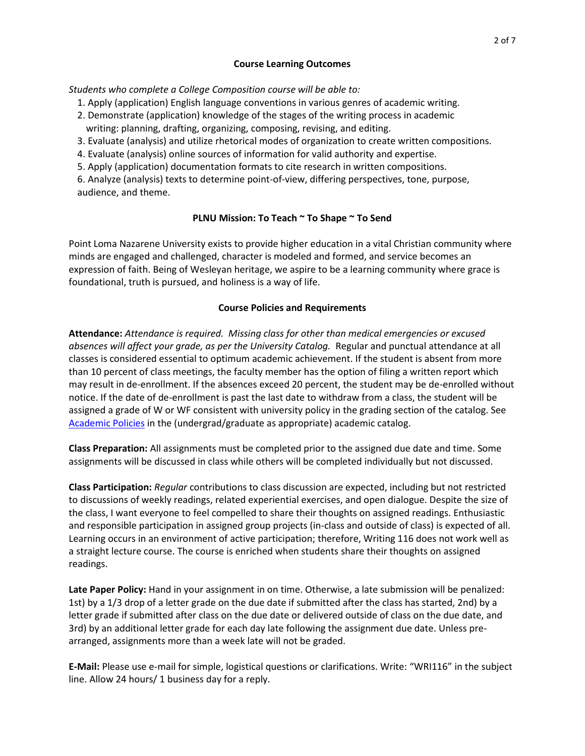## **Course Learning Outcomes**

*Students who complete a College Composition course will be able to:*

- 1. Apply (application) English language conventions in various genres of academic writing.
- 2. Demonstrate (application) knowledge of the stages of the writing process in academic writing: planning, drafting, organizing, composing, revising, and editing.
- 3. Evaluate (analysis) and utilize rhetorical modes of organization to create written compositions.
- 4. Evaluate (analysis) online sources of information for valid authority and expertise.
- 5. Apply (application) documentation formats to cite research in written compositions.

6. Analyze (analysis) texts to determine point-of-view, differing perspectives, tone, purpose, audience, and theme.

## **PLNU Mission: To Teach ~ To Shape ~ To Send**

Point Loma Nazarene University exists to provide higher education in a vital Christian community where minds are engaged and challenged, character is modeled and formed, and service becomes an expression of faith. Being of Wesleyan heritage, we aspire to be a learning community where grace is foundational, truth is pursued, and holiness is a way of life.

#### **Course Policies and Requirements**

**Attendance:** *Attendance is required. Missing class for other than medical emergencies or excused absences will affect your grade, as per the University Catalog.* Regular and punctual attendance at all classes is considered essential to optimum academic achievement. If the student is absent from more than 10 percent of class meetings, the faculty member has the option of filing a written report which may result in de-enrollment. If the absences exceed 20 percent, the student may be de-enrolled without notice. If the date of de-enrollment is past the last date to withdraw from a class, the student will be assigned a grade of W or WF consistent with university policy in the grading section of the catalog. See [Academic Policies](http://catalog.pointloma.edu/content.php?catoid=24&navoid=1581) in the (undergrad/graduate as appropriate) academic catalog.

**Class Preparation:** All assignments must be completed prior to the assigned due date and time. Some assignments will be discussed in class while others will be completed individually but not discussed.

**Class Participation:** *Regular* contributions to class discussion are expected, including but not restricted to discussions of weekly readings, related experiential exercises, and open dialogue. Despite the size of the class, I want everyone to feel compelled to share their thoughts on assigned readings. Enthusiastic and responsible participation in assigned group projects (in-class and outside of class) is expected of all. Learning occurs in an environment of active participation; therefore, Writing 116 does not work well as a straight lecture course. The course is enriched when students share their thoughts on assigned readings.

**Late Paper Policy:** Hand in your assignment in on time. Otherwise, a late submission will be penalized: 1st) by a 1/3 drop of a letter grade on the due date if submitted after the class has started, 2nd) by a letter grade if submitted after class on the due date or delivered outside of class on the due date, and 3rd) by an additional letter grade for each day late following the assignment due date. Unless prearranged, assignments more than a week late will not be graded.

**E-Mail:** Please use e-mail for simple, logistical questions or clarifications. Write: "WRI116" in the subject line. Allow 24 hours/ 1 business day for a reply.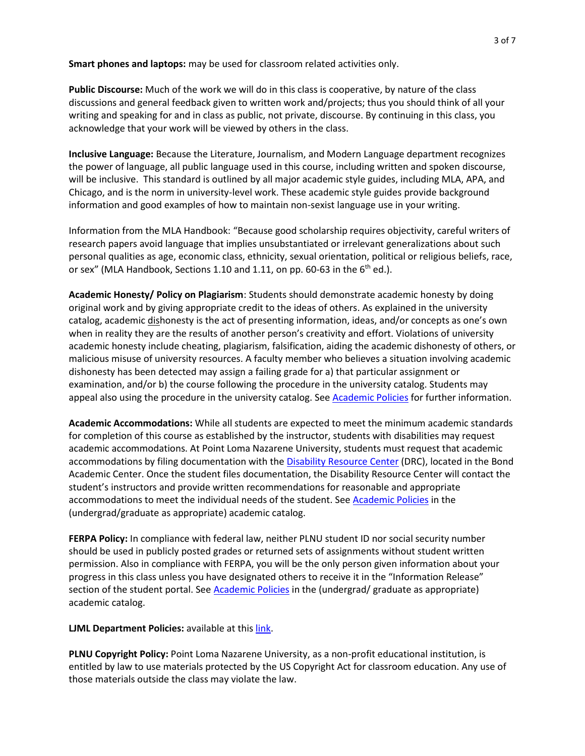**Smart phones and laptops:** may be used for classroom related activities only.

**Public Discourse:** Much of the work we will do in this class is cooperative, by nature of the class discussions and general feedback given to written work and/projects; thus you should think of all your writing and speaking for and in class as public, not private, discourse. By continuing in this class, you acknowledge that your work will be viewed by others in the class.

**Inclusive Language:** Because the Literature, Journalism, and Modern Language department recognizes the power of language, all public language used in this course, including written and spoken discourse, will be inclusive. This standard is outlined by all major academic style guides, including MLA, APA, and Chicago, and is the norm in university-level work. These academic style guides provide background information and good examples of how to maintain non-sexist language use in your writing.

Information from the MLA Handbook: "Because good scholarship requires objectivity, careful writers of research papers avoid language that implies unsubstantiated or irrelevant generalizations about such personal qualities as age, economic class, ethnicity, sexual orientation, political or religious beliefs, race, or sex" (MLA Handbook, Sections 1.10 and 1.11, on pp. 60-63 in the  $6<sup>th</sup>$  ed.).

**Academic Honesty/ Policy on Plagiarism**: Students should demonstrate academic honesty by doing original work and by giving appropriate credit to the ideas of others. As explained in the university catalog, academic dishonesty is the act of presenting information, ideas, and/or concepts as one's own when in reality they are the results of another person's creativity and effort. Violations of university academic honesty include cheating, plagiarism, falsification, aiding the academic dishonesty of others, or malicious misuse of university resources. A faculty member who believes a situation involving academic dishonesty has been detected may assign a failing grade for a) that particular assignment or examination, and/or b) the course following the procedure in the university catalog. Students may appeal also using the procedure in the university catalog. See [Academic Policies](http://catalog.pointloma.edu/content.php?catoid=24&navoid=1581#Academic_Honesty) for further information.

**Academic Accommodations:** While all students are expected to meet the minimum academic standards for completion of this course as established by the instructor, students with disabilities may request academic accommodations. At Point Loma Nazarene University, students must request that academic accommodations by filing documentation with the [Disability Resource Center](http://www.pointloma.edu/experience/offices/administrative-offices/academic-advising-office/disability-resource-center) (DRC), located in the Bond Academic Center. Once the student files documentation, the Disability Resource Center will contact the student's instructors and provide written recommendations for reasonable and appropriate accommodations to meet the individual needs of the student. See [Academic Policies](http://catalog.pointloma.edu/content.php?catoid=24&navoid=1581) in the (undergrad/graduate as appropriate) academic catalog.

**FERPA Policy:** In compliance with federal law, neither PLNU student ID nor social security number should be used in publicly posted grades or returned sets of assignments without student written permission. Also in compliance with FERPA, you will be the only person given information about your progress in this class unless you have designated others to receive it in the "Information Release" section of the student portal. See [Academic Policies](http://catalog.pointloma.edu/content.php?catoid=24&navoid=1581) in the (undergrad/ graduate as appropriate) academic catalog.

**LJML Department Policies:** available at thi[s link.](http://www.pointloma.edu/sites/default/files/filemanager/Literature_Journalism__Modern_Languages/LJML_Department_Syllabus_Statments_final_2016-17.pdf)

**PLNU Copyright Policy:** Point Loma Nazarene University, as a non-profit educational institution, is entitled by law to use materials protected by the US Copyright Act for classroom education. Any use of those materials outside the class may violate the law.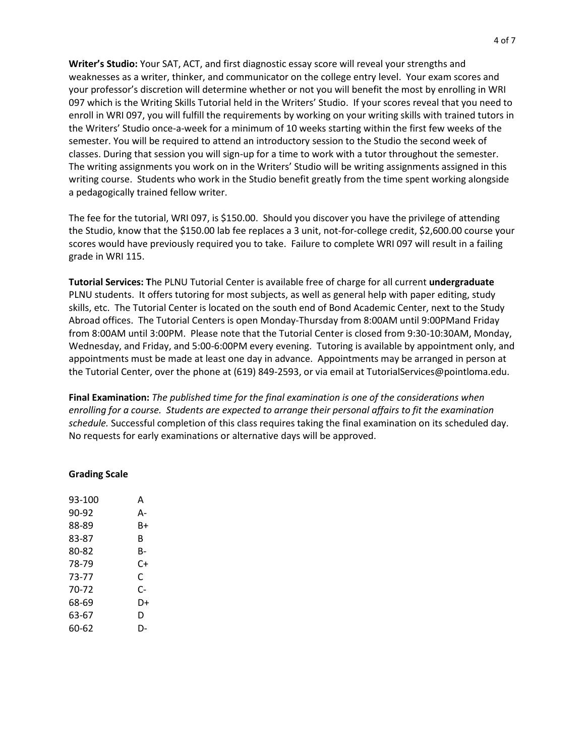**Writer's Studio:** Your SAT, ACT, and first diagnostic essay score will reveal your strengths and weaknesses as a writer, thinker, and communicator on the college entry level. Your exam scores and your professor's discretion will determine whether or not you will benefit the most by enrolling in WRI 097 which is the Writing Skills Tutorial held in the Writers' Studio. If your scores reveal that you need to enroll in WRI 097, you will fulfill the requirements by working on your writing skills with trained tutors in the Writers' Studio once-a-week for a minimum of 10 weeks starting within the first few weeks of the semester. You will be required to attend an introductory session to the Studio the second week of classes. During that session you will sign-up for a time to work with a tutor throughout the semester. The writing assignments you work on in the Writers' Studio will be writing assignments assigned in this writing course. Students who work in the Studio benefit greatly from the time spent working alongside a pedagogically trained fellow writer.

The fee for the tutorial, WRI 097, is \$150.00. Should you discover you have the privilege of attending the Studio, know that the \$150.00 lab fee replaces a 3 unit, not-for-college credit, \$2,600.00 course your scores would have previously required you to take. Failure to complete WRI 097 will result in a failing grade in WRI 115.

**Tutorial Services: T**he PLNU Tutorial Center is available free of charge for all current **undergraduate**  PLNU students. It offers tutoring for most subjects, as well as general help with paper editing, study skills, etc. The Tutorial Center is located on the south end of Bond Academic Center, next to the Study Abroad offices. The Tutorial Centers is open Monday-Thursday from 8:00AM until 9:00PMand Friday from 8:00AM until 3:00PM. Please note that the Tutorial Center is closed from 9:30-10:30AM, Monday, Wednesday, and Friday, and 5:00-6:00PM every evening. Tutoring is available by appointment only, and appointments must be made at least one day in advance. Appointments may be arranged in person at the Tutorial Center, over the phone at (619) 849-2593, or via email at TutorialServices@pointloma.edu.

**Final Examination:** *The published time for the final examination is one of the considerations when enrolling for a course. Students are expected to arrange their personal affairs to fit the examination schedule.* Successful completion of this class requires taking the final examination on its scheduled day. No requests for early examinations or alternative days will be approved.

| <b>Grading Scale</b> |  |
|----------------------|--|
|----------------------|--|

| 93-100 | А  |
|--------|----|
| 90-92  | А- |
| 88-89  | B+ |
| 83-87  | B  |
| 80-82  | B- |
| 78-79  | C+ |
| 73-77  | C  |
| 70-72  | C- |
| 68-69  | D+ |
| 63-67  | D  |
| 60-62  | D- |
|        |    |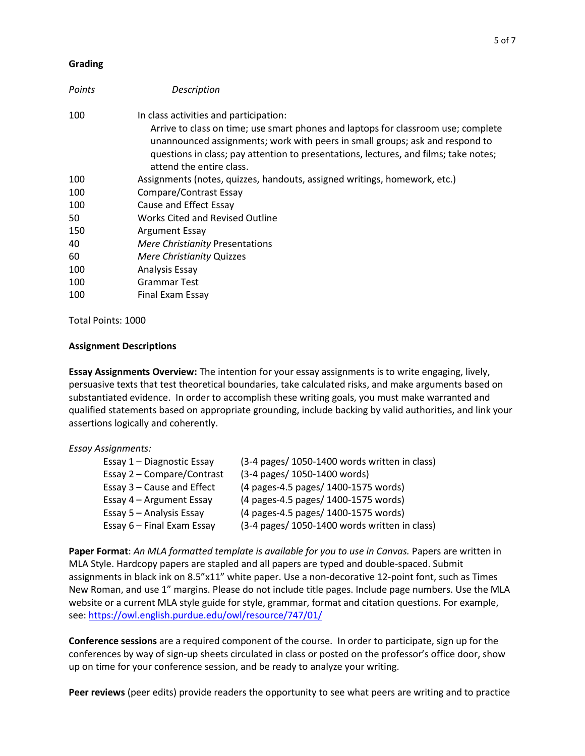## **Grading**

| Points | Description                                                                                                                                                                                                                                                                                                                     |
|--------|---------------------------------------------------------------------------------------------------------------------------------------------------------------------------------------------------------------------------------------------------------------------------------------------------------------------------------|
| 100    | In class activities and participation:<br>Arrive to class on time; use smart phones and laptops for classroom use; complete<br>unannounced assignments; work with peers in small groups; ask and respond to<br>questions in class; pay attention to presentations, lectures, and films; take notes;<br>attend the entire class. |
| 100    | Assignments (notes, quizzes, handouts, assigned writings, homework, etc.)                                                                                                                                                                                                                                                       |
| 100    | Compare/Contrast Essay                                                                                                                                                                                                                                                                                                          |
| 100    | Cause and Effect Essay                                                                                                                                                                                                                                                                                                          |
| 50     | <b>Works Cited and Revised Outline</b>                                                                                                                                                                                                                                                                                          |
| 150    | <b>Argument Essay</b>                                                                                                                                                                                                                                                                                                           |
| 40     | <b>Mere Christianity Presentations</b>                                                                                                                                                                                                                                                                                          |
| 60     | Mere Christianity Quizzes                                                                                                                                                                                                                                                                                                       |
| 100    | Analysis Essay                                                                                                                                                                                                                                                                                                                  |
| 100    | Grammar Test                                                                                                                                                                                                                                                                                                                    |
| 100    | Final Exam Essay                                                                                                                                                                                                                                                                                                                |

Total Points: 1000

## **Assignment Descriptions**

**Essay Assignments Overview:** The intention for your essay assignments is to write engaging, lively, persuasive texts that test theoretical boundaries, take calculated risks, and make arguments based on substantiated evidence. In order to accomplish these writing goals, you must make warranted and qualified statements based on appropriate grounding, include backing by valid authorities, and link your assertions logically and coherently.

## *Essay Assignments:*

| (3-4 pages/ 1050-1400 words written in class) |
|-----------------------------------------------|
| (3-4 pages/ 1050-1400 words)                  |
| (4 pages-4.5 pages/ 1400-1575 words)          |
| (4 pages-4.5 pages/ 1400-1575 words)          |
| (4 pages-4.5 pages/ 1400-1575 words)          |
| (3-4 pages/ 1050-1400 words written in class) |
|                                               |

**Paper Format**: *An MLA formatted template is available for you to use in Canvas.* Papers are written in MLA Style. Hardcopy papers are stapled and all papers are typed and double-spaced. Submit assignments in black ink on 8.5"x11" white paper. Use a non-decorative 12-point font, such as Times New Roman, and use 1" margins. Please do not include title pages. Include page numbers. Use the MLA website or a current MLA style guide for style, grammar, format and citation questions. For example, see[: https://owl.english.purdue.edu/owl/resource/747/01/](https://owl.english.purdue.edu/owl/resource/747/01/)

**Conference sessions** are a required component of the course. In order to participate, sign up for the conferences by way of sign-up sheets circulated in class or posted on the professor's office door, show up on time for your conference session, and be ready to analyze your writing.

**Peer reviews** (peer edits) provide readers the opportunity to see what peers are writing and to practice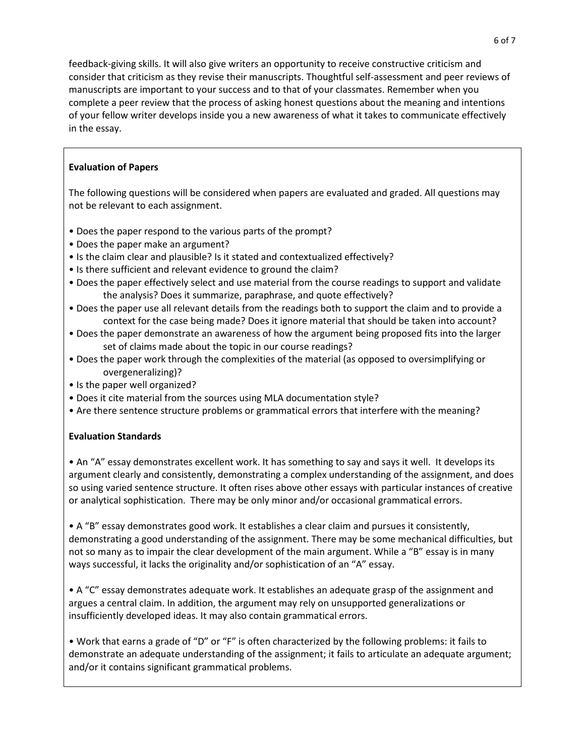feedback-giving skills. It will also give writers an opportunity to receive constructive criticism and consider that criticism as they revise their manuscripts. Thoughtful self-assessment and peer reviews of manuscripts are important to your success and to that of your classmates. Remember when you complete a peer review that the process of asking honest questions about the meaning and intentions of your fellow writer develops inside you a new awareness of what it takes to communicate effectively in the essay.

# **Evaluation of Papers**

The following questions will be considered when papers are evaluated and graded. All questions may not be relevant to each assignment.

- Does the paper respond to the various parts of the prompt?
- Does the paper make an argument?
- Is the claim clear and plausible? Is it stated and contextualized effectively?
- Is there sufficient and relevant evidence to ground the claim?
- Does the paper effectively select and use material from the course readings to support and validate the analysis? Does it summarize, paraphrase, and quote effectively?
- Does the paper use all relevant details from the readings both to support the claim and to provide a context for the case being made? Does it ignore material that should be taken into account?
- Does the paper demonstrate an awareness of how the argument being proposed fits into the larger set of claims made about the topic in our course readings?
- Does the paper work through the complexities of the material (as opposed to oversimplifying or overgeneralizing)?
- Is the paper well organized?
- Does it cite material from the sources using MLA documentation style?
- Are there sentence structure problems or grammatical errors that interfere with the meaning?

# **Evaluation Standards**

• An "A" essay demonstrates excellent work. It has something to say and says it well. It develops its argument clearly and consistently, demonstrating a complex understanding of the assignment, and does so using varied sentence structure. It often rises above other essays with particular instances of creative or analytical sophistication. There may be only minor and/or occasional grammatical errors.

• A "B" essay demonstrates good work. It establishes a clear claim and pursues it consistently, demonstrating a good understanding of the assignment. There may be some mechanical difficulties, but not so many as to impair the clear development of the main argument. While a "B" essay is in many ways successful, it lacks the originality and/or sophistication of an "A" essay.

• A "C" essay demonstrates adequate work. It establishes an adequate grasp of the assignment and argues a central claim. In addition, the argument may rely on unsupported generalizations or insufficiently developed ideas. It may also contain grammatical errors.

• Work that earns a grade of "D" or "F" is often characterized by the following problems: it fails to demonstrate an adequate understanding of the assignment; it fails to articulate an adequate argument; and/or it contains significant grammatical problems.